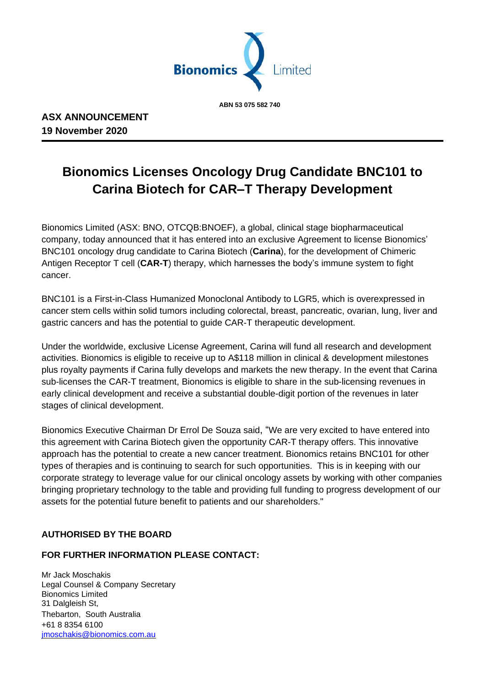

 **ABN 53 075 582 740**

# **Bionomics Licenses Oncology Drug Candidate BNC101 to Carina Biotech for CAR–T Therapy Development**

Bionomics Limited (ASX: BNO, OTCQB:BNOEF), a global, clinical stage biopharmaceutical company, today announced that it has entered into an exclusive Agreement to license Bionomics' BNC101 oncology drug candidate to Carina Biotech (**Carina**), for the development of Chimeric Antigen Receptor T cell (**CAR-T**) therapy, which harnesses the body's immune system to fight cancer.

BNC101 is a First-in-Class Humanized Monoclonal Antibody to LGR5, which is overexpressed in cancer stem cells within solid tumors including colorectal, breast, pancreatic, ovarian, lung, liver and gastric cancers and has the potential to guide CAR-T therapeutic development.

Under the worldwide, exclusive License Agreement, Carina will fund all research and development activities. Bionomics is eligible to receive up to A\$118 million in clinical & development milestones plus royalty payments if Carina fully develops and markets the new therapy. In the event that Carina sub-licenses the CAR-T treatment, Bionomics is eligible to share in the sub-licensing revenues in early clinical development and receive a substantial double-digit portion of the revenues in later stages of clinical development.

Bionomics Executive Chairman Dr Errol De Souza said, "We are very excited to have entered into this agreement with Carina Biotech given the opportunity CAR-T therapy offers. This innovative approach has the potential to create a new cancer treatment. Bionomics retains BNC101 for other types of therapies and is continuing to search for such opportunities. This is in keeping with our corporate strategy to leverage value for our clinical oncology assets by working with other companies bringing proprietary technology to the table and providing full funding to progress development of our assets for the potential future benefit to patients and our shareholders."

## **AUTHORISED BY THE BOARD**

### **FOR FURTHER INFORMATION PLEASE CONTACT:**

Mr Jack Moschakis Legal Counsel & Company Secretary Bionomics Limited 31 Dalgleish St, Thebarton, South Australia +61 8 8354 6100 [jmoschakis@bionomics.com.au](mailto:jmoschakis@bionomics.com.au)